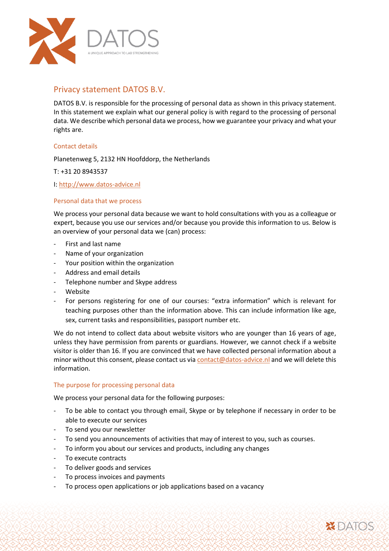

# Privacy statement DATOS B.V.

DATOS B.V. is responsible for the processing of personal data as shown in this privacy statement. In this statement we explain what our general policy is with regard to the processing of personal data. We describe which personal data we process, how we guarantee your privacy and what your rights are.

# Contact details

Planetenweg 5, 2132 HN Hoofddorp, the Netherlands

T: +31 20 8943537

I: [http://www.datos-advice.nl](http://www.datos-advice.nl/)

# Personal data that we process

We process your personal data because we want to hold consultations with you as a colleague or expert, because you use our services and/or because you provide this information to us. Below is an overview of your personal data we (can) process:

- First and last name
- Name of your organization
- Your position within the organization
- Address and email details
- Telephone number and Skype address
- **Website**
- For persons registering for one of our courses: "extra information" which is relevant for teaching purposes other than the information above. This can include information like age, sex, current tasks and responsibilities, passport number etc.

We do not intend to collect data about website visitors who are younger than 16 years of age, unless they have permission from parents or guardians. However, we cannot check if a website visitor is older than 16. If you are convinced that we have collected personal information about a minor without this consent, please contact us vi[a contact@datos-advice.nl](mailto:contact@datos-advice.nl) and we will delete this information.

# The purpose for processing personal data

We process your personal data for the following purposes:

To be able to contact you through email, Skype or by telephone if necessary in order to be able to execute our services

**Y DATOS** 

- To send you our newsletter
- To send you announcements of activities that may of interest to you, such as courses.
- To inform you about our services and products, including any changes
- To execute contracts
- To deliver goods and services
- To process invoices and payments
- To process open applications or job applications based on a vacancy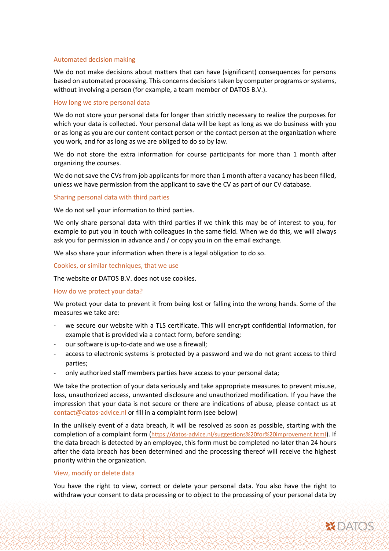#### Automated decision making

We do not make decisions about matters that can have (significant) consequences for persons based on automated processing. This concerns decisions taken by computer programs or systems, without involving a person (for example, a team member of DATOS B.V.).

#### How long we store personal data

We do not store your personal data for longer than strictly necessary to realize the purposes for which your data is collected. Your personal data will be kept as long as we do business with you or as long as you are our content contact person or the contact person at the organization where you work, and for as long as we are obliged to do so by law.

We do not store the extra information for course participants for more than 1 month after organizing the courses.

We do not save the CVs from job applicants for more than 1 month after a vacancy has been filled, unless we have permission from the applicant to save the CV as part of our CV database.

#### Sharing personal data with third parties

We do not sell your information to third parties.

We only share personal data with third parties if we think this may be of interest to you, for example to put you in touch with colleagues in the same field. When we do this, we will always ask you for permission in advance and / or copy you in on the email exchange.

We also share your information when there is a legal obligation to do so.

Cookies, or similar techniques, that we use

The website or DATOS B.V. does not use cookies.

#### How do we protect your data?

We protect your data to prevent it from being lost or falling into the wrong hands. Some of the measures we take are:

- we secure our website with a TLS certificate. This will encrypt confidential information, for example that is provided via a contact form, before sending;
- our software is up-to-date and we use a firewall;
- access to electronic systems is protected by a password and we do not grant access to third parties;
- only authorized staff members parties have access to your personal data;

We take the protection of your data seriously and take appropriate measures to prevent misuse, loss, unauthorized access, unwanted disclosure and unauthorized modification. If you have the impression that your data is not secure or there are indications of abuse, please contact us at [contact@datos-advice.nl](mailto:contact@datos-advice.nl) or fill in a complaint form (see below)

In the unlikely event of a data breach, it will be resolved as soon as possible, starting with the completion of a complaint form (<https://datos-advice.nl/suggestions%20for%20improvement.html>). If the data breach is detected by an employee, this form must be completed no later than 24 hours after the data breach has been determined and the processing thereof will receive the highest priority within the organization.

#### View, modify or delete data

You have the right to view, correct or delete your personal data. You also have the right to withdraw your consent to data processing or to object to the processing of your personal data by